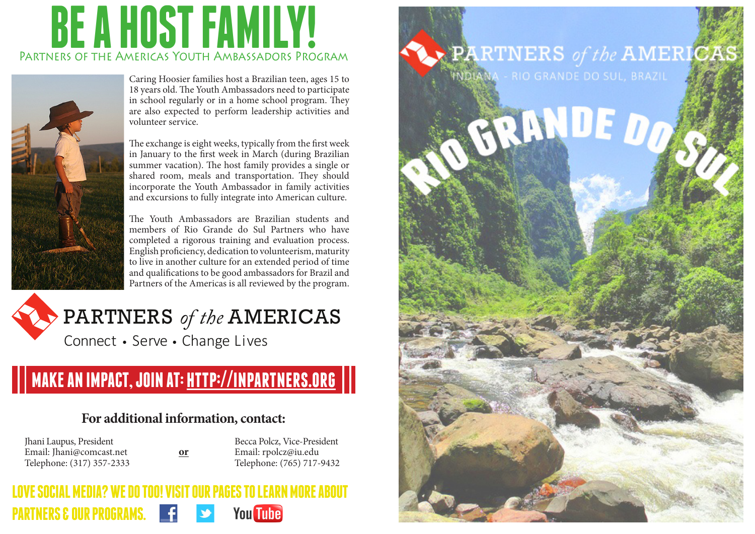## **BE A HOST FAMILY!** Partners of the Americas Youth Ambassadors Program



Caring Hoosier families host a Brazilian teen, ages 15 to 18 years old. The Youth Ambassadors need to participate in school regularly or in a home school program. They are also expected to perform leadership activities and volunteer service.

The exchange is eight weeks, typically from the first week in January to the first week in March (during Brazilian summer vacation). The host family provides a single or shared room, meals and transportation. They should incorporate the Youth Ambassador in family activities and excursions to fully integrate into American culture.

The Youth Ambassadors are Brazilian students and members of Rio Grande do Sul Partners who have completed a rigorous training and evaluation process. English proficiency, dedication to volunteerism, maturity to live in another culture for an extended period of time and qualifications to be good ambassadors for Brazil and Partners of the Americas is all reviewed by the program.

### PARTNERS *of the* AMERICAS Connect • Serve • Change Lives

## **MAKE AN IMPACT, JOIN AT: http://inpartners.org**

#### **For additional information, contact:**

**or**

Jhani Laupus, President Email: Jhani@comcast.net Telephone: (317) 357-2333

Becca Polcz, Vice-President Email: rpolcz@iu.edu Telephone: (765) 717-9432

#### **LOVE SOCIAL MEDIA? WE DO TOO! VISIT OUR PAGES TO LEARN MORE ABOUT PARTNERS & OUR PROGRAMS. You Tube**